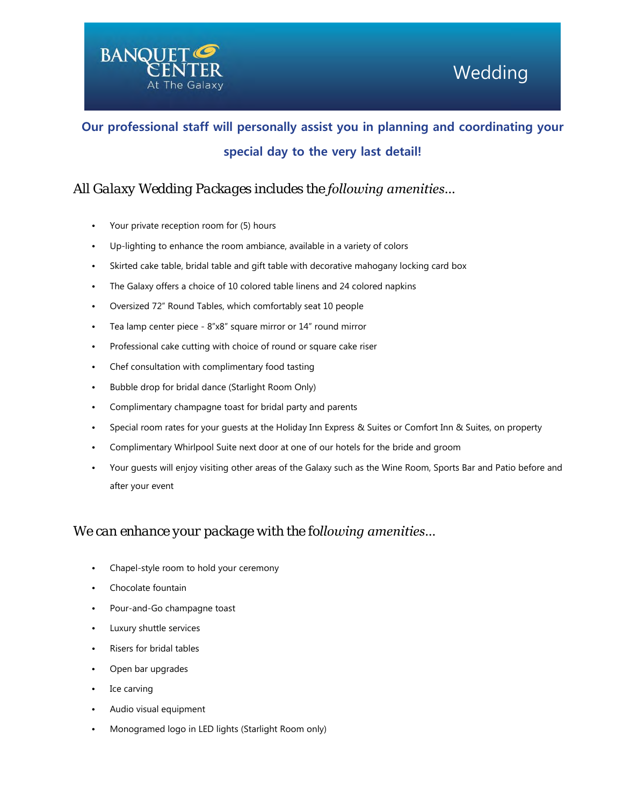

s

# **Our professional staff will personally assist you in planning and coordinating your special day to the very last detail!**

### *All Galaxy Wedding Packages includes the following amenities…*

- Your private reception room for (5) hours
- Up-lighting to enhance the room ambiance, available in a variety of colors
- Skirted cake table, bridal table and gift table with decorative mahogany locking card box
- The Galaxy offers a choice of 10 colored table linens and 24 colored napkins
- Oversized 72" Round Tables, which comfortably seat 10 people
- Tea lamp center piece 8"x8" square mirror or 14" round mirror
- Professional cake cutting with choice of round or square cake riser
- Chef consultation with complimentary food tasting
- Bubble drop for bridal dance (Starlight Room Only)
- Complimentary champagne toast for bridal party and parents
- Special room rates for your guests at the Holiday Inn Express & Suites or Comfort Inn & Suites, on property
- Complimentary Whirlpool Suite next door at one of our hotels for the bride and groom
- Your guests will enjoy visiting other areas of the Galaxy such as the Wine Room, Sports Bar and Patio before and after your event

### *We can enhance your package with the following amenities…*

- Chapel-style room to hold your ceremony
- Chocolate fountain
- Pour-and-Go champagne toast
- Luxury shuttle services
- Risers for bridal tables
- Open bar upgrades
- Ice carving
- Audio visual equipment
- Monogramed logo in LED lights (Starlight Room only)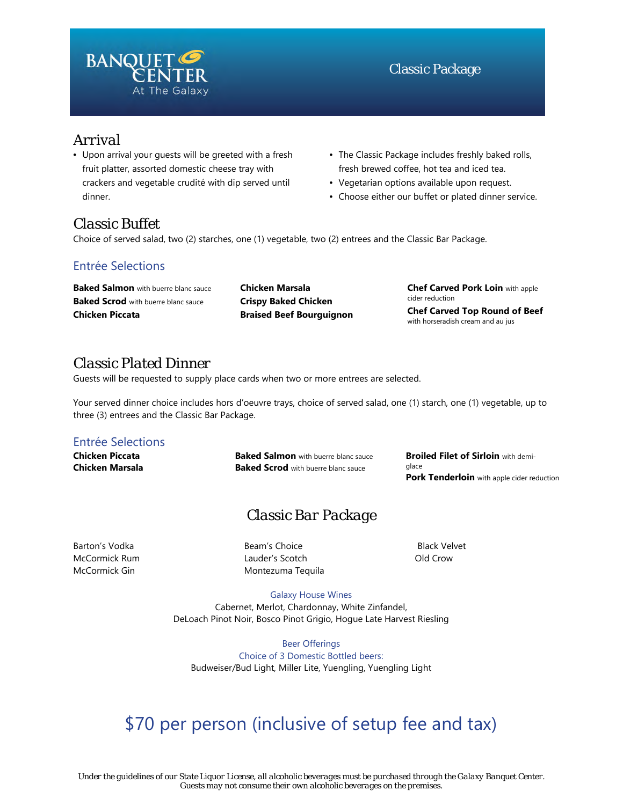

# *Arrival*

- Upon arrival your guests will be greeted with a fresh fruit platter, assorted domestic cheese tray with crackers and vegetable crudité with dip served until dinner.
- The Classic Package includes freshly baked rolls, fresh brewed coffee, hot tea and iced tea.
- Vegetarian options available upon request.
- Choose either our buffet or plated dinner service.

# *Classic Buffet*

Choice of served salad, two (2) starches, one (1) vegetable, two (2) entrees and the Classic Bar Package.

### Entrée Selections

**Baked Salmon** with buerre blanc sauce **Baked Scrod** with buerre blanc sauce **Chicken Piccata**

**Chicken Marsala Crispy Baked Chicken Braised Beef Bourguignon** **Chef Carved Pork Loin** with apple cider reduction **Chef Carved Top Round of Beef**  with horseradish cream and au jus

# *Classic Plated Dinner*

Guests will be requested to supply place cards when two or more entrees are selected.

Your served dinner choice includes hors d'oeuvre trays, choice of served salad, one (1) starch, one (1) vegetable, up to three (3) entrees and the Classic Bar Package.

### Entrée Selections

**Chicken Piccata Chicken Marsala** **Baked Salmon** with buerre blanc sauce **Baked Scrod** with buerre blanc sauce

**Broiled Filet of Sirloin** with demiglace **Pork Tenderloin** with apple cider reduction

# *Classic Bar Package*

Barton's Vodka McCormick Rum McCormick Gin

Beam's Choice Lauder's Scotch Montezuma Tequila

Black Velvet Old Crow

Galaxy House Wines Cabernet, Merlot, Chardonnay, White Zinfandel, DeLoach Pinot Noir, Bosco Pinot Grigio, Hogue Late Harvest Riesling

Beer Offerings Choice of 3 Domestic Bottled beers: Budweiser/Bud Light, Miller Lite, Yuengling, Yuengling Light

# \$70 per person (inclusive of setup fee and tax)

*Under the guidelines of our State Liquor License, all alcoholic beverages must be purchased through the Galaxy Banquet Center. Guests may not consume their own alcoholic beverages on the premises.*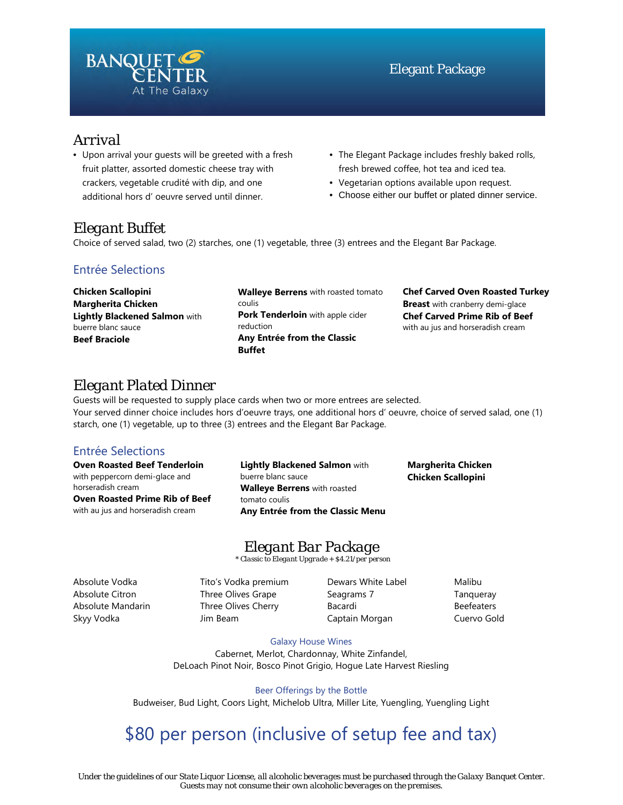

# *Arrival*

- Upon arrival your guests will be greeted with a fresh fruit platter, assorted domestic cheese tray with crackers, vegetable crudité with dip, and one additional hors d' oeuvre served until dinner.
- The Elegant Package includes freshly baked rolls, fresh brewed coffee, hot tea and iced tea.
- Vegetarian options available upon request.
- Choose either our buffet or plated dinner service.

# *Elegant Buffet*

Choice of served salad, two (2) starches, one (1) vegetable, three (3) entrees and the Elegant Bar Package.

### Entrée Selections

**Chicken Scallopini Margherita Chicken Lightly Blackened Salmon** with buerre blanc sauce **Beef Braciole**

**Walleye Berrens** with roasted tomato coulis **Pork Tenderloin** with apple cider reduction **Any Entrée from the Classic Buffet**

**Chef Carved Oven Roasted Turkey Breast** with cranberry demi-glace **Chef Carved Prime Rib of Beef** with au jus and horseradish cream

# *Elegant Plated Dinner*

Guests will be requested to supply place cards when two or more entrees are selected. Your served dinner choice includes hors d'oeuvre trays, one additional hors d' oeuvre, choice of served salad, one (1) starch, one (1) vegetable, up to three (3) entrees and the Elegant Bar Package.

### Entrée Selections

**Oven Roasted Beef Tenderloin**  with peppercorn demi-glace and horseradish cream

**Oven Roasted Prime Rib of Beef**  with au jus and horseradish cream

**Lightly Blackened Salmon** with buerre blanc sauce **Walleye Berrens** with roasted tomato coulis **Any Entrée from the Classic Menu**

**Margherita Chicken Chicken Scallopini**

# *Elegant Bar Package*

*\* Classic to Elegant Upgrade + \$4.21/per person*

Absolute Vodka Absolute Citron Absolute Mandarin Skyy Vodka

Tito's Vodka premium Three Olives Grape Three Olives Cherry Jim Beam

Dewars White Label Seagrams 7 Bacardi Captain Morgan

Malibu **Tanqueray** Beefeaters Cuervo Gold

#### Galaxy House Wines

Cabernet, Merlot, Chardonnay, White Zinfandel, DeLoach Pinot Noir, Bosco Pinot Grigio, Hogue Late Harvest Riesling

Beer Offerings by the Bottle Budweiser, Bud Light, Coors Light, Michelob Ultra, Miller Lite, Yuengling, Yuengling Light

# \$80 per person (inclusive of setup fee and tax)

*Under the guidelines of our State Liquor License, all alcoholic beverages must be purchased through the Galaxy Banquet Center. Guests may not consume their own alcoholic beverages on the premises.*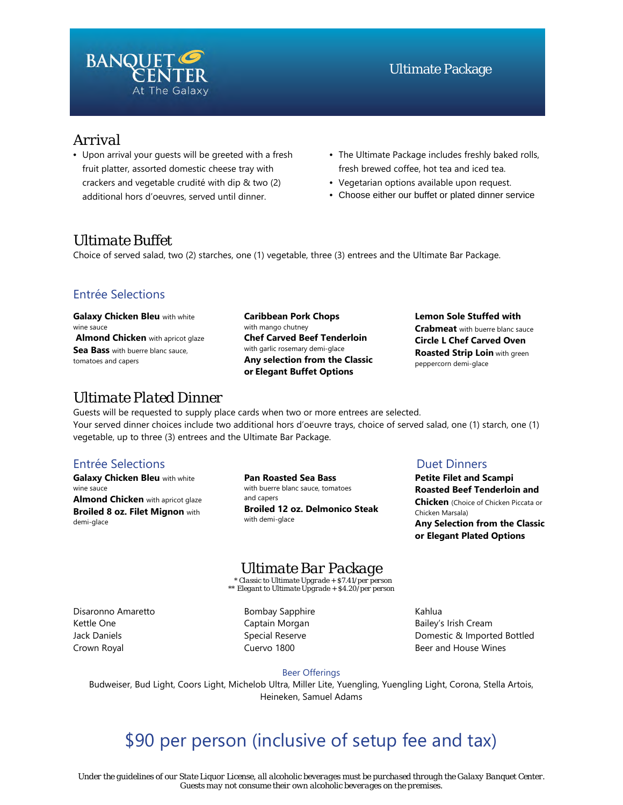

### *Arrival*

- Upon arrival your guests will be greeted with a fresh fruit platter, assorted domestic cheese tray with crackers and vegetable crudité with dip & two (2) additional hors d'oeuvres, served until dinner.
- The Ultimate Package includes freshly baked rolls, fresh brewed coffee, hot tea and iced tea.
- Vegetarian options available upon request.
- Choose either our buffet or plated dinner service

### *Ultimate Buffet*

Choice of served salad, two (2) starches, one (1) vegetable, three (3) entrees and the Ultimate Bar Package.

### Entrée Selections

**Galaxy Chicken Bleu** with white wine sauce **Almond Chicken** with apricot glaze **Sea Bass** with buerre blanc sauce, tomatoes and capers

**Caribbean Pork Chops**  with mango chutney **Chef Carved Beef Tenderloin** with garlic rosemary demi-glace **Any selection from the Classic or Elegant Buffet Options**

#### **Lemon Sole Stuffed with Crabmeat** with buerre blanc sauce **Circle L Chef Carved Oven Roasted Strip Loin** with green peppercorn demi-glace

# *Ultimate Plated Dinner*

Guests will be requested to supply place cards when two or more entrees are selected. Your served dinner choices include two additional hors d'oeuvre trays, choice of served salad, one (1) starch, one (1) vegetable, up to three (3) entrees and the Ultimate Bar Package.

### Entrée Selections Duet Dinners

**Galaxy Chicken Bleu** with white wine sauce **Almond Chicken** with apricot glaze **Broiled 8 oz. Filet Mignon** with demi-glace

**Pan Roasted Sea Bass** with buerre blanc sauce, tomatoes and capers **Broiled 12 oz. Delmonico Steak**  with demi-glace

**Petite Filet and Scampi Roasted Beef Tenderloin and Chicken** (Choice of Chicken Piccata or Chicken Marsala) **Any Selection from the Classic or Elegant Plated Options**

*Ultimate Bar Package \* Classic to Ultimate Upgrade + \$7.41/per person* 

*\*\* Elegant to Ultimate Upgrade + \$4.20/per person*

Disaronno Amaretto Kettle One Jack Daniels Crown Royal

Bombay Sapphire Captain Morgan Special Reserve Cuervo 1800

Kahlua Bailey's Irish Cream Domestic & Imported Bottled Beer and House Wines

#### Beer Offerings

Budweiser, Bud Light, Coors Light, Michelob Ultra, Miller Lite, Yuengling, Yuengling Light, Corona, Stella Artois, Heineken, Samuel Adams

# \$90 per person (inclusive of setup fee and tax)

*Under the guidelines of our State Liquor License, all alcoholic beverages must be purchased through the Galaxy Banquet Center. Guests may not consume their own alcoholic beverages on the premises.*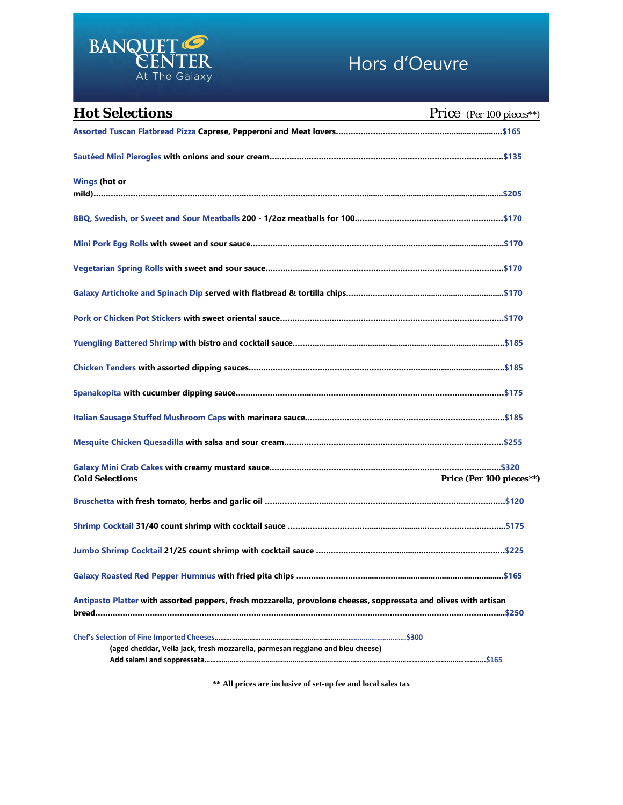

# Hors d'Oeuvre

| <b>Hot Selections</b>                                                                                             | <b>Price</b> (Per 100 pieces**) |
|-------------------------------------------------------------------------------------------------------------------|---------------------------------|
|                                                                                                                   |                                 |
|                                                                                                                   |                                 |
| <b>Wings (hot or</b>                                                                                              |                                 |
|                                                                                                                   |                                 |
|                                                                                                                   |                                 |
|                                                                                                                   |                                 |
|                                                                                                                   |                                 |
|                                                                                                                   |                                 |
|                                                                                                                   |                                 |
|                                                                                                                   |                                 |
|                                                                                                                   |                                 |
|                                                                                                                   |                                 |
|                                                                                                                   |                                 |
|                                                                                                                   |                                 |
| <b>Cold Selections</b><br><b>Price (Per 100 pieces**)</b>                                                         |                                 |
|                                                                                                                   |                                 |
|                                                                                                                   |                                 |
| Jumbo Shrimp Cocktail 21/25 count shrimp with cocktail sauce ………………………………………………………………………………\$225                  |                                 |
|                                                                                                                   |                                 |
| Antipasto Platter with assorted peppers, fresh mozzarella, provolone cheeses, soppressata and olives with artisan |                                 |
|                                                                                                                   |                                 |
| (aged cheddar, Vella jack, fresh mozzarella, parmesan reggiano and bleu cheese)                                   |                                 |
|                                                                                                                   |                                 |

**\*\* All prices are inclusive of set-up fee and local sales tax**